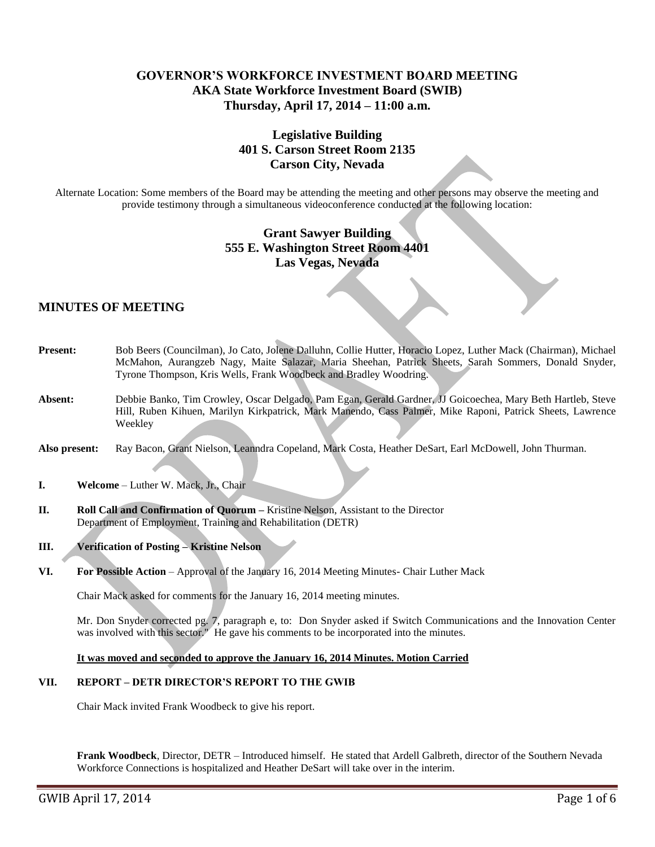# **GOVERNOR'S WORKFORCE INVESTMENT BOARD MEETING AKA State Workforce Investment Board (SWIB) Thursday, April 17, 2014 – 11:00 a.m.**

# **Legislative Building 401 S. Carson Street Room 2135 Carson City, Nevada**

Alternate Location: Some members of the Board may be attending the meeting and other persons may observe the meeting and provide testimony through a simultaneous videoconference conducted at the following location:

# **Grant Sawyer Building 555 E. Washington Street Room 4401 Las Vegas, Nevada**

# **MINUTES OF MEETING**

- **Present:** Bob Beers (Councilman), Jo Cato, Jolene Dalluhn, Collie Hutter, Horacio Lopez, Luther Mack (Chairman), Michael McMahon, Aurangzeb Nagy, Maite Salazar, Maria Sheehan, Patrick Sheets, Sarah Sommers, Donald Snyder, Tyrone Thompson, Kris Wells, Frank Woodbeck and Bradley Woodring. **Absent:** Debbie Banko, Tim Crowley, Oscar Delgado, Pam Egan, Gerald Gardner, JJ Goicoechea, Mary Beth Hartleb, Steve Hill, Ruben Kihuen, Marilyn Kirkpatrick, Mark Manendo, Cass Palmer, Mike Raponi, Patrick Sheets, Lawrence Weekley
- **Also present:** Ray Bacon, Grant Nielson, Leanndra Copeland, Mark Costa, Heather DeSart, Earl McDowell, John Thurman.
- **I. Welcome** Luther W. Mack, Jr., Chair
- **II. Roll Call and Confirmation of Quorum –** Kristine Nelson, Assistant to the Director Department of Employment, Training and Rehabilitation (DETR)
- **III. Verification of Posting – Kristine Nelson**
- **VI. For Possible Action**  Approval of the January 16, 2014 Meeting Minutes- Chair Luther Mack

Chair Mack asked for comments for the January 16, 2014 meeting minutes.

Mr. Don Snyder corrected pg. 7, paragraph e, to: Don Snyder asked if Switch Communications and the Innovation Center was involved with this sector." He gave his comments to be incorporated into the minutes.

## **It was moved and seconded to approve the January 16, 2014 Minutes. Motion Carried**

## **VII. REPORT – DETR DIRECTOR'S REPORT TO THE GWIB**

Chair Mack invited Frank Woodbeck to give his report.

**Frank Woodbeck**, Director, DETR – Introduced himself. He stated that Ardell Galbreth, director of the Southern Nevada Workforce Connections is hospitalized and Heather DeSart will take over in the interim.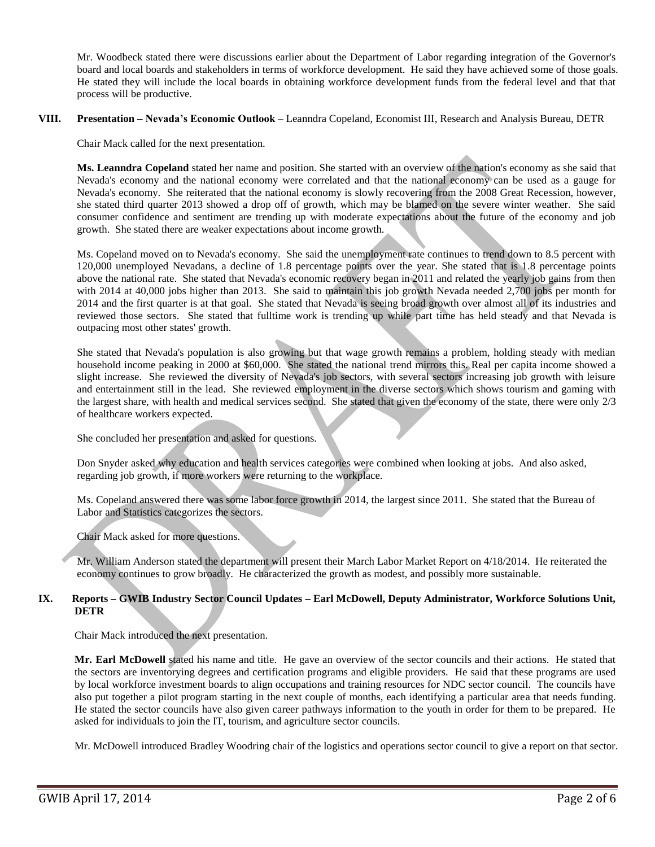Mr. Woodbeck stated there were discussions earlier about the Department of Labor regarding integration of the Governor's board and local boards and stakeholders in terms of workforce development. He said they have achieved some of those goals. He stated they will include the local boards in obtaining workforce development funds from the federal level and that that process will be productive.

## **VIII. Presentation – Nevada's Economic Outlook** – Leanndra Copeland, Economist III, Research and Analysis Bureau, DETR

Chair Mack called for the next presentation.

**Ms. Leanndra Copeland** stated her name and position. She started with an overview of the nation's economy as she said that Nevada's economy and the national economy were correlated and that the national economy can be used as a gauge for Nevada's economy. She reiterated that the national economy is slowly recovering from the 2008 Great Recession, however, she stated third quarter 2013 showed a drop off of growth, which may be blamed on the severe winter weather. She said consumer confidence and sentiment are trending up with moderate expectations about the future of the economy and job growth. She stated there are weaker expectations about income growth.

Ms. Copeland moved on to Nevada's economy. She said the unemployment rate continues to trend down to 8.5 percent with 120,000 unemployed Nevadans, a decline of 1.8 percentage points over the year. She stated that is 1.8 percentage points above the national rate. She stated that Nevada's economic recovery began in 2011 and related the yearly job gains from then with 2014 at 40,000 jobs higher than 2013. She said to maintain this job growth Nevada needed 2,700 jobs per month for 2014 and the first quarter is at that goal. She stated that Nevada is seeing broad growth over almost all of its industries and reviewed those sectors. She stated that fulltime work is trending up while part time has held steady and that Nevada is outpacing most other states' growth.

She stated that Nevada's population is also growing but that wage growth remains a problem, holding steady with median household income peaking in 2000 at \$60,000. She stated the national trend mirrors this. Real per capita income showed a slight increase. She reviewed the diversity of Nevada's job sectors, with several sectors increasing job growth with leisure and entertainment still in the lead. She reviewed employment in the diverse sectors which shows tourism and gaming with the largest share, with health and medical services second. She stated that given the economy of the state, there were only 2/3 of healthcare workers expected.

She concluded her presentation and asked for questions.

Don Snyder asked why education and health services categories were combined when looking at jobs. And also asked, regarding job growth, if more workers were returning to the workplace.

Ms. Copeland answered there was some labor force growth in 2014, the largest since 2011. She stated that the Bureau of Labor and Statistics categorizes the sectors.

Chair Mack asked for more questions.

Mr. William Anderson stated the department will present their March Labor Market Report on 4/18/2014. He reiterated the economy continues to grow broadly. He characterized the growth as modest, and possibly more sustainable.

## **IX. Reports – GWIB Industry Sector Council Updates – Earl McDowell, Deputy Administrator, Workforce Solutions Unit, DETR**

Chair Mack introduced the next presentation.

**Mr. Earl McDowell** stated his name and title. He gave an overview of the sector councils and their actions. He stated that the sectors are inventorying degrees and certification programs and eligible providers. He said that these programs are used by local workforce investment boards to align occupations and training resources for NDC sector council. The councils have also put together a pilot program starting in the next couple of months, each identifying a particular area that needs funding. He stated the sector councils have also given career pathways information to the youth in order for them to be prepared. He asked for individuals to join the IT, tourism, and agriculture sector councils.

Mr. McDowell introduced Bradley Woodring chair of the logistics and operations sector council to give a report on that sector.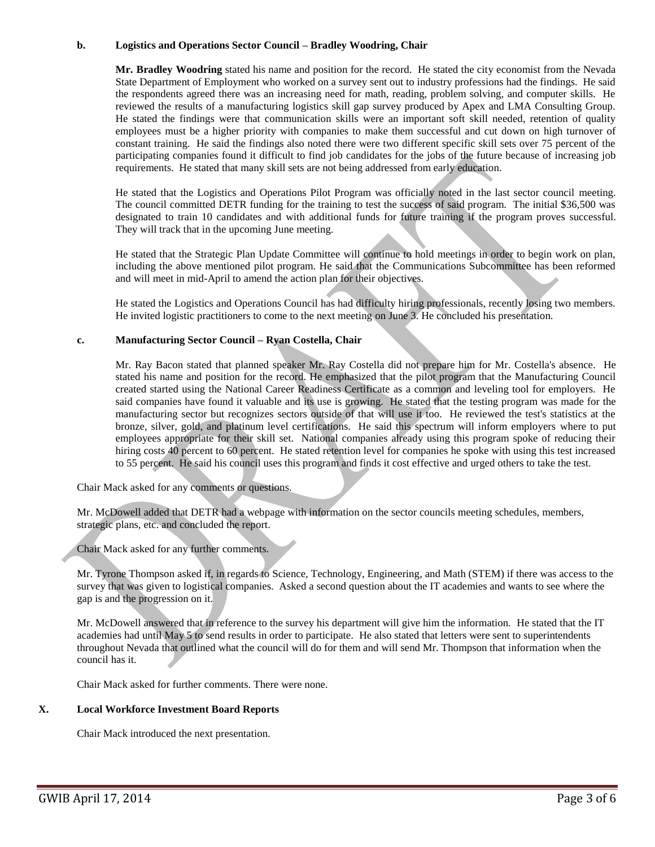## **b. Logistics and Operations Sector Council – Bradley Woodring, Chair**

**Mr. Bradley Woodring** stated his name and position for the record. He stated the city economist from the Nevada State Department of Employment who worked on a survey sent out to industry professions had the findings. He said the respondents agreed there was an increasing need for math, reading, problem solving, and computer skills. He reviewed the results of a manufacturing logistics skill gap survey produced by Apex and LMA Consulting Group. He stated the findings were that communication skills were an important soft skill needed, retention of quality employees must be a higher priority with companies to make them successful and cut down on high turnover of constant training. He said the findings also noted there were two different specific skill sets over 75 percent of the participating companies found it difficult to find job candidates for the jobs of the future because of increasing job requirements. He stated that many skill sets are not being addressed from early education.

He stated that the Logistics and Operations Pilot Program was officially noted in the last sector council meeting. The council committed DETR funding for the training to test the success of said program. The initial \$36,500 was designated to train 10 candidates and with additional funds for future training if the program proves successful. They will track that in the upcoming June meeting.

He stated that the Strategic Plan Update Committee will continue to hold meetings in order to begin work on plan, including the above mentioned pilot program. He said that the Communications Subcommittee has been reformed and will meet in mid-April to amend the action plan for their objectives.

He stated the Logistics and Operations Council has had difficulty hiring professionals, recently losing two members. He invited logistic practitioners to come to the next meeting on June 3. He concluded his presentation.

## **c. Manufacturing Sector Council – Ryan Costella, Chair**

Mr. Ray Bacon stated that planned speaker Mr. Ray Costella did not prepare him for Mr. Costella's absence. He stated his name and position for the record. He emphasized that the pilot program that the Manufacturing Council created started using the National Career Readiness Certificate as a common and leveling tool for employers. He said companies have found it valuable and its use is growing. He stated that the testing program was made for the manufacturing sector but recognizes sectors outside of that will use it too. He reviewed the test's statistics at the bronze, silver, gold, and platinum level certifications. He said this spectrum will inform employers where to put employees appropriate for their skill set. National companies already using this program spoke of reducing their hiring costs 40 percent to 60 percent. He stated retention level for companies he spoke with using this test increased to 55 percent. He said his council uses this program and finds it cost effective and urged others to take the test.

Chair Mack asked for any comments or questions.

Mr. McDowell added that DETR had a webpage with information on the sector councils meeting schedules, members, strategic plans, etc. and concluded the report.

Chair Mack asked for any further comments.

Mr. Tyrone Thompson asked if, in regards to Science, Technology, Engineering, and Math (STEM) if there was access to the survey that was given to logistical companies. Asked a second question about the IT academies and wants to see where the gap is and the progression on it.

Mr. McDowell answered that in reference to the survey his department will give him the information. He stated that the IT academies had until May 5 to send results in order to participate. He also stated that letters were sent to superintendents throughout Nevada that outlined what the council will do for them and will send Mr. Thompson that information when the council has it.

Chair Mack asked for further comments. There were none.

## **X. Local Workforce Investment Board Reports**

Chair Mack introduced the next presentation.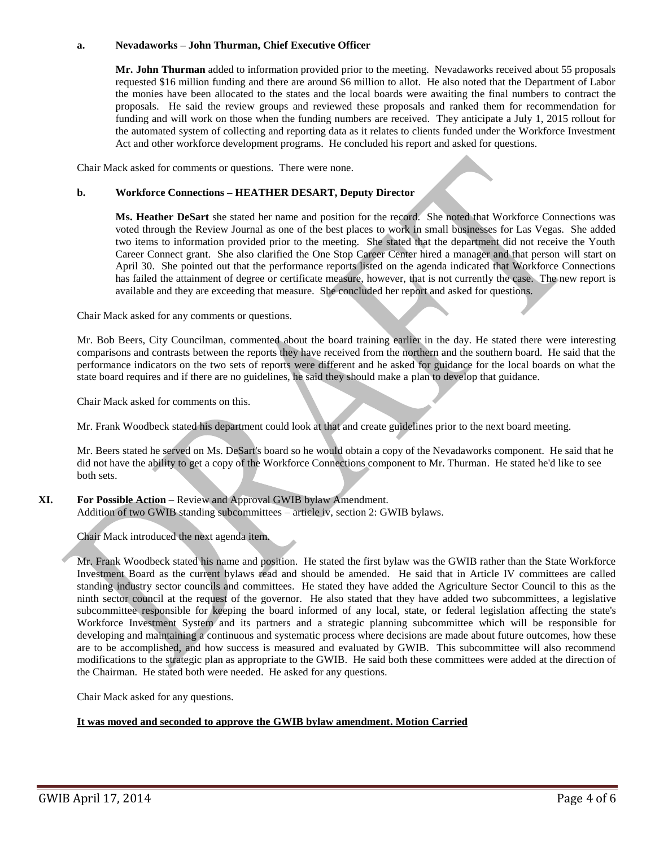#### **a. Nevadaworks – John Thurman, Chief Executive Officer**

**Mr. John Thurman** added to information provided prior to the meeting. Nevadaworks received about 55 proposals requested \$16 million funding and there are around \$6 million to allot. He also noted that the Department of Labor the monies have been allocated to the states and the local boards were awaiting the final numbers to contract the proposals. He said the review groups and reviewed these proposals and ranked them for recommendation for funding and will work on those when the funding numbers are received. They anticipate a July 1, 2015 rollout for the automated system of collecting and reporting data as it relates to clients funded under the Workforce Investment Act and other workforce development programs. He concluded his report and asked for questions.

Chair Mack asked for comments or questions. There were none.

#### **b. Workforce Connections – HEATHER DESART, Deputy Director**

**Ms. Heather DeSart** she stated her name and position for the record. She noted that Workforce Connections was voted through the Review Journal as one of the best places to work in small businesses for Las Vegas. She added two items to information provided prior to the meeting. She stated that the department did not receive the Youth Career Connect grant. She also clarified the One Stop Career Center hired a manager and that person will start on April 30. She pointed out that the performance reports listed on the agenda indicated that Workforce Connections has failed the attainment of degree or certificate measure, however, that is not currently the case. The new report is available and they are exceeding that measure. She concluded her report and asked for questions.

Chair Mack asked for any comments or questions.

Mr. Bob Beers, City Councilman, commented about the board training earlier in the day. He stated there were interesting comparisons and contrasts between the reports they have received from the northern and the southern board. He said that the performance indicators on the two sets of reports were different and he asked for guidance for the local boards on what the state board requires and if there are no guidelines, he said they should make a plan to develop that guidance.

Chair Mack asked for comments on this.

Mr. Frank Woodbeck stated his department could look at that and create guidelines prior to the next board meeting.

Mr. Beers stated he served on Ms. DeSart's board so he would obtain a copy of the Nevadaworks component. He said that he did not have the ability to get a copy of the Workforce Connections component to Mr. Thurman. He stated he'd like to see both sets.

## XI. **For Possible Action** – Review and Approval GWIB bylaw Amendment.

Addition of two GWIB standing subcommittees – article iv, section 2: GWIB bylaws.

Chair Mack introduced the next agenda item.

Mr. Frank Woodbeck stated his name and position. He stated the first bylaw was the GWIB rather than the State Workforce Investment Board as the current bylaws read and should be amended. He said that in Article IV committees are called standing industry sector councils and committees. He stated they have added the Agriculture Sector Council to this as the ninth sector council at the request of the governor. He also stated that they have added two subcommittees, a legislative subcommittee responsible for keeping the board informed of any local, state, or federal legislation affecting the state's Workforce Investment System and its partners and a strategic planning subcommittee which will be responsible for developing and maintaining a continuous and systematic process where decisions are made about future outcomes, how these are to be accomplished, and how success is measured and evaluated by GWIB. This subcommittee will also recommend modifications to the strategic plan as appropriate to the GWIB. He said both these committees were added at the direction of the Chairman. He stated both were needed. He asked for any questions.

Chair Mack asked for any questions.

## **It was moved and seconded to approve the GWIB bylaw amendment. Motion Carried**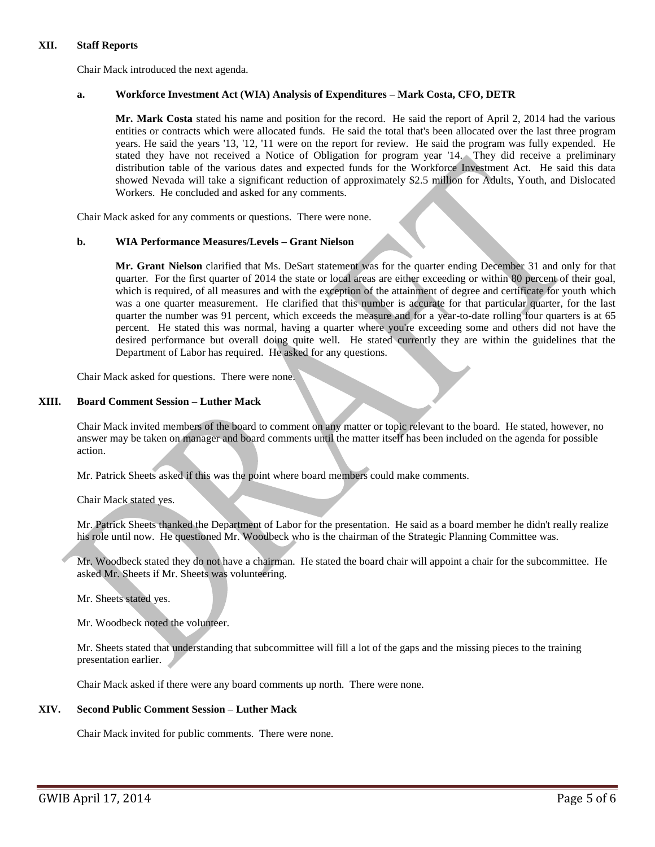### **XII. Staff Reports**

Chair Mack introduced the next agenda.

## **a. Workforce Investment Act (WIA) Analysis of Expenditures – Mark Costa, CFO, DETR**

**Mr. Mark Costa** stated his name and position for the record. He said the report of April 2, 2014 had the various entities or contracts which were allocated funds. He said the total that's been allocated over the last three program years. He said the years '13, '12, '11 were on the report for review. He said the program was fully expended. He stated they have not received a Notice of Obligation for program year '14. They did receive a preliminary distribution table of the various dates and expected funds for the Workforce Investment Act. He said this data showed Nevada will take a significant reduction of approximately \$2.5 million for Adults, Youth, and Dislocated Workers. He concluded and asked for any comments.

Chair Mack asked for any comments or questions. There were none.

## **b. WIA Performance Measures/Levels – Grant Nielson**

**Mr. Grant Nielson** clarified that Ms. DeSart statement was for the quarter ending December 31 and only for that quarter. For the first quarter of 2014 the state or local areas are either exceeding or within 80 percent of their goal, which is required, of all measures and with the exception of the attainment of degree and certificate for youth which was a one quarter measurement. He clarified that this number is accurate for that particular quarter, for the last quarter the number was 91 percent, which exceeds the measure and for a year-to-date rolling four quarters is at 65 percent. He stated this was normal, having a quarter where you're exceeding some and others did not have the desired performance but overall doing quite well. He stated currently they are within the guidelines that the Department of Labor has required. He asked for any questions.

Chair Mack asked for questions. There were none.

#### **XIII. Board Comment Session – Luther Mack**

Chair Mack invited members of the board to comment on any matter or topic relevant to the board. He stated, however, no answer may be taken on manager and board comments until the matter itself has been included on the agenda for possible action.

Mr. Patrick Sheets asked if this was the point where board members could make comments.

Chair Mack stated yes.

Mr. Patrick Sheets thanked the Department of Labor for the presentation. He said as a board member he didn't really realize his role until now. He questioned Mr. Woodbeck who is the chairman of the Strategic Planning Committee was.

Mr. Woodbeck stated they do not have a chairman. He stated the board chair will appoint a chair for the subcommittee. He asked Mr. Sheets if Mr. Sheets was volunteering.

Mr. Sheets stated yes.

Mr. Woodbeck noted the volunteer.

Mr. Sheets stated that understanding that subcommittee will fill a lot of the gaps and the missing pieces to the training presentation earlier.

Chair Mack asked if there were any board comments up north. There were none.

#### **XIV. Second Public Comment Session – Luther Mack**

Chair Mack invited for public comments. There were none.